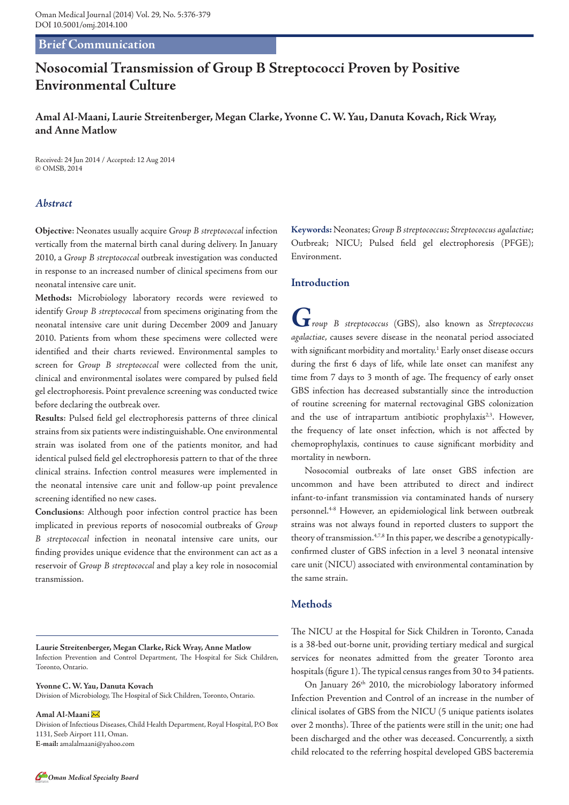# **Brief Communication**

# **Nosocomial Transmission of Group B Streptococci Proven by Positive Environmental Culture**

**Amal Al-Maani, Laurie Streitenberger, Megan Clarke, Yvonne C. W. Yau, Danuta Kovach, Rick Wray, and Anne Matlow**

Received: 24 Jun 2014 / Accepted: 12 Aug 2014 © OMSB, 2014

# *Abstract*

**Objective**: Neonates usually acquire *Group B streptococcal* infection vertically from the maternal birth canal during delivery. In January 2010, a *Group B streptococcal* outbreak investigation was conducted in response to an increased number of clinical specimens from our neonatal intensive care unit.

**Methods:** Microbiology laboratory records were reviewed to identify *Group B streptococcal* from specimens originating from the neonatal intensive care unit during December 2009 and January 2010. Patients from whom these specimens were collected were identified and their charts reviewed. Environmental samples to screen for *Group B streptococcal* were collected from the unit, clinical and environmental isolates were compared by pulsed field gel electrophoresis. Point prevalence screening was conducted twice before declaring the outbreak over.

**Results**: Pulsed field gel electrophoresis patterns of three clinical strains from six patients were indistinguishable. One environmental strain was isolated from one of the patients monitor, and had identical pulsed field gel electrophoresis pattern to that of the three clinical strains. Infection control measures were implemented in the neonatal intensive care unit and follow-up point prevalence screening identified no new cases.

**Conclusions**: Although poor infection control practice has been implicated in previous reports of nosocomial outbreaks of *Group B streptococcal* infection in neonatal intensive care units, our finding provides unique evidence that the environment can act as a reservoir of *Group B streptococcal* and play a key role in nosocomial transmission.

**Laurie Streitenberger, Megan Clarke, Rick Wray, Anne Matlow**  Infection Prevention and Control Department, The Hospital for Sick Children, Toronto, Ontario.

**Yvonne C. W. Yau, Danuta Kovach**

Division of Microbiology, The Hospital of Sick Children, Toronto, Ontario.

**Amal Al-Maani**  Division of Infectious Diseases, Child Health Department, Royal Hospital, P.O Box 1131, Seeb Airport 111, Oman. **E-mail:** amalalmaani@yahoo.com

**Keywords:** Neonates; *Group B streptococcus; Streptococcus agalactiae*; Outbreak; NICU; Pulsed field gel electrophoresis (PFGE); Environment.

#### **Introduction**

*Group B streptococcus* (GBS), also known as *Streptococcus agalactiae*, causes severe disease in the neonatal period associated with significant morbidity and mortality.<sup>1</sup> Early onset disease occurs during the first 6 days of life, while late onset can manifest any time from 7 days to 3 month of age. The frequency of early onset GBS infection has decreased substantially since the introduction of routine screening for maternal rectovaginal GBS colonization and the use of intrapartum antibiotic prophylaxis<sup>2,3</sup>. However, the frequency of late onset infection, which is not affected by chemoprophylaxis, continues to cause significant morbidity and mortality in newborn.

Nosocomial outbreaks of late onset GBS infection are uncommon and have been attributed to direct and indirect infant-to-infant transmission via contaminated hands of nursery personnel.4-8 However, an epidemiological link between outbreak strains was not always found in reported clusters to support the theory of transmission.<sup>4,7,8</sup> In this paper, we describe a genotypicallyconfirmed cluster of GBS infection in a level 3 neonatal intensive care unit (NICU) associated with environmental contamination by the same strain.

# **Methods**

The NICU at the Hospital for Sick Children in Toronto, Canada is a 38-bed out-borne unit, providing tertiary medical and surgical services for neonates admitted from the greater Toronto area hospitals (figure 1). The typical census ranges from 30 to 34 patients.

On January 26<sup>th</sup> 2010, the microbiology laboratory informed Infection Prevention and Control of an increase in the number of clinical isolates of GBS from the NICU (5 unique patients isolates over 2 months). Three of the patients were still in the unit; one had been discharged and the other was deceased. Concurrently, a sixth child relocated to the referring hospital developed GBS bacteremia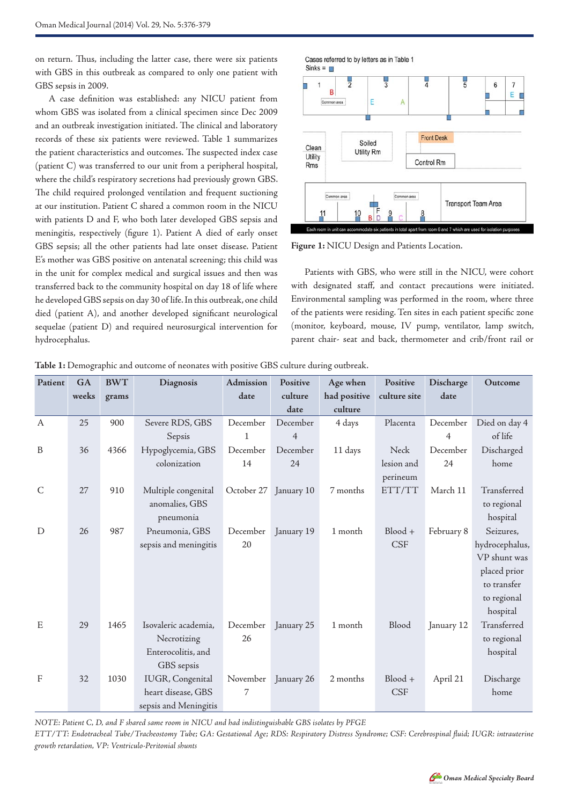on return. Thus, including the latter case, there were six patients with GBS in this outbreak as compared to only one patient with GBS sepsis in 2009.

A case definition was established: any NICU patient from whom GBS was isolated from a clinical specimen since Dec 2009 and an outbreak investigation initiated. The clinical and laboratory records of these six patients were reviewed. Table 1 summarizes the patient characteristics and outcomes. The suspected index case (patient C) was transferred to our unit from a peripheral hospital, where the child's respiratory secretions had previously grown GBS. The child required prolonged ventilation and frequent suctioning at our institution. Patient C shared a common room in the NICU with patients D and F, who both later developed GBS sepsis and meningitis, respectively (figure 1). Patient A died of early onset GBS sepsis; all the other patients had late onset disease. Patient E's mother was GBS positive on antenatal screening; this child was in the unit for complex medical and surgical issues and then was transferred back to the community hospital on day 18 of life where he developed GBS sepsis on day 30 of life. In this outbreak, one child died (patient A), and another developed significant neurological sequelae (patient D) and required neurosurgical intervention for hydrocephalus.



**Figure 1:** NICU Design and Patients Location.

Patients with GBS, who were still in the NICU, were cohort with designated staff, and contact precautions were initiated. Environmental sampling was performed in the room, where three of the patients were residing. Ten sites in each patient specific zone (monitor, keyboard, mouse, IV pump, ventilator, lamp switch, parent chair- seat and back, thermometer and crib/front rail or

| Patient      | GA    | <b>BWT</b> | Diagnosis             | Admission    | Positive              | Age when     | Positive     | Discharge  | Outcome        |
|--------------|-------|------------|-----------------------|--------------|-----------------------|--------------|--------------|------------|----------------|
|              | weeks | grams      |                       | date         | culture               | had positive | culture site | date       |                |
|              |       |            |                       |              | date                  | culture      |              |            |                |
| A            | 25    | 900        | Severe RDS, GBS       | December     | December              | 4 days       | Placenta     | December   | Died on day 4  |
|              |       |            | Sepsis                | $\mathbf{1}$ | $\overline{4}$        |              |              | 4          | of life        |
| $\, {\bf B}$ | 36    | 4366       | Hypoglycemia, GBS     | December     | December              | 11 days      | Neck         | December   | Discharged     |
|              |       |            | colonization          | 14           | 24                    |              | lesion and   | 24         | home           |
|              |       |            |                       |              |                       |              | perineum     |            |                |
| $\mathsf{C}$ | 27    | 910        | Multiple congenital   |              | October 27 January 10 | 7 months     | ETT/TT       | March 11   | Transferred    |
|              |       |            | anomalies, GBS        |              |                       |              |              |            | to regional    |
|              |       |            | pneumonia             |              |                       |              |              |            | hospital       |
| $\mathbf D$  | 26    | 987        | Pneumonia, GBS        | December     | January 19            | 1 month      | $Blood +$    | February 8 | Seizures,      |
|              |       |            | sepsis and meningitis | 20           |                       |              | <b>CSF</b>   |            | hydrocephalus, |
|              |       |            |                       |              |                       |              |              |            | VP shunt was   |
|              |       |            |                       |              |                       |              |              |            | placed prior   |
|              |       |            |                       |              |                       |              |              |            | to transfer    |
|              |       |            |                       |              |                       |              |              |            | to regional    |
|              |       |            |                       |              |                       |              |              |            | hospital       |
| E            | 29    | 1465       | Isovaleric academia,  | December     | January 25            | 1 month      | Blood        | January 12 | Transferred    |
|              |       |            | Necrotizing           | 26           |                       |              |              |            | to regional    |
|              |       |            | Enterocolitis, and    |              |                       |              |              |            | hospital       |
|              |       |            | GBS sepsis            |              |                       |              |              |            |                |
| $\mathbf{F}$ | 32    | 1030       | IUGR, Congenital      | November     | January 26            | 2 months     | $Blood +$    | April 21   | Discharge      |
|              |       |            | heart disease, GBS    | 7            |                       |              | <b>CSF</b>   |            | home           |
|              |       |            | sepsis and Meningitis |              |                       |              |              |            |                |

**Table 1:** Demographic and outcome of neonates with positive GBS culture during outbreak.

*NOTE: Patient C, D, and F shared same room in NICU and had indistinguishable GBS isolates by PFGE*

*ETT/TT: Endotracheal Tube/Tracheostomy Tube; GA: Gestational Age; RDS: Respiratory Distress Syndrome; CSF: Cerebrospinal fluid; IUGR: intrauterine growth retardation, VP: Ventriculo-Peritonial shunts*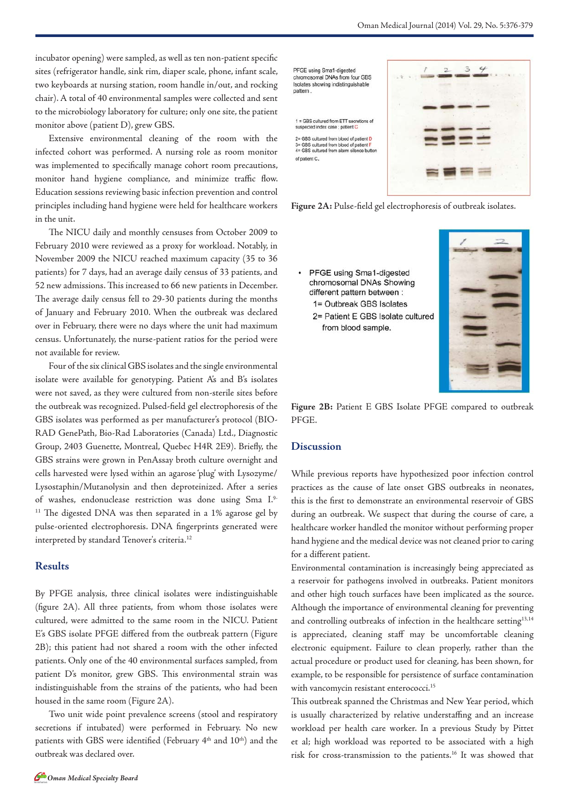incubator opening) were sampled, as well as ten non-patient specific sites (refrigerator handle, sink rim, diaper scale, phone, infant scale, two keyboards at nursing station, room handle in/out, and rocking chair). A total of 40 environmental samples were collected and sent to the microbiology laboratory for culture; only one site, the patient monitor above (patient D), grew GBS.

Extensive environmental cleaning of the room with the infected cohort was performed. A nursing role as room monitor was implemented to specifically manage cohort room precautions, monitor hand hygiene compliance, and minimize traffic flow. Education sessions reviewing basic infection prevention and control principles including hand hygiene were held for healthcare workers in the unit.

The NICU daily and monthly censuses from October 2009 to February 2010 were reviewed as a proxy for workload. Notably, in November 2009 the NICU reached maximum capacity (35 to 36 patients) for 7 days, had an average daily census of 33 patients, and 52 new admissions. This increased to 66 new patients in December. The average daily census fell to 29-30 patients during the months of January and February 2010. When the outbreak was declared over in February, there were no days where the unit had maximum census. Unfortunately, the nurse-patient ratios for the period were not available for review.

Four of the six clinical GBS isolates and the single environmental isolate were available for genotyping. Patient A's and B's isolates were not saved, as they were cultured from non-sterile sites before the outbreak was recognized. Pulsed-field gel electrophoresis of the GBS isolates was performed as per manufacturer's protocol (BIO-RAD GenePath, Bio-Rad Laboratories (Canada) Ltd., Diagnostic Group, 2403 Guenette, Montreal, Quebec H4R 2E9). Briefly, the GBS strains were grown in PenAssay broth culture overnight and cells harvested were lysed within an agarose 'plug' with Lysozyme/ Lysostaphin/Mutanolysin and then deproteinized. After a series of washes, endonuclease restriction was done using Sma I.9- <sup>11</sup> The digested DNA was then separated in a 1% agarose gel by pulse-oriented electrophoresis. DNA fingerprints generated were interpreted by standard Tenover's criteria.<sup>12</sup>

## **Results**

By PFGE analysis, three clinical isolates were indistinguishable (figure 2A). All three patients, from whom those isolates were cultured, were admitted to the same room in the NICU. Patient E's GBS isolate PFGE differed from the outbreak pattern (Figure 2B); this patient had not shared a room with the other infected patients. Only one of the 40 environmental surfaces sampled, from patient D's monitor, grew GBS. This environmental strain was indistinguishable from the strains of the patients, who had been housed in the same room (Figure 2A).

Two unit wide point prevalence screens (stool and respiratory secretions if intubated) were performed in February. No new patients with GBS were identified (February 4<sup>th</sup> and 10<sup>th</sup>) and the outbreak was declared over.



**Figure 2A:** Pulse-field gel electrophoresis of outbreak isolates.

PFGE using Sma1-digested chromosomal DNAs Showing different pattern between : 1= Outbreak GBS Isolates 2= Patient E GBS Isolate cultured from blood sample.



**Figure 2B:** Patient E GBS Isolate PFGE compared to outbreak PFGE.

# **Discussion**

While previous reports have hypothesized poor infection control practices as the cause of late onset GBS outbreaks in neonates, this is the first to demonstrate an environmental reservoir of GBS during an outbreak. We suspect that during the course of care, a healthcare worker handled the monitor without performing proper hand hygiene and the medical device was not cleaned prior to caring for a different patient.

Environmental contamination is increasingly being appreciated as a reservoir for pathogens involved in outbreaks. Patient monitors and other high touch surfaces have been implicated as the source. Although the importance of environmental cleaning for preventing and controlling outbreaks of infection in the healthcare setting<sup>13,14</sup> is appreciated, cleaning staff may be uncomfortable cleaning electronic equipment. Failure to clean properly, rather than the actual procedure or product used for cleaning, has been shown, for example, to be responsible for persistence of surface contamination with vancomycin resistant enterococci.<sup>15</sup>

This outbreak spanned the Christmas and New Year period, which is usually characterized by relative understaffing and an increase workload per health care worker. In a previous Study by Pittet et al; high workload was reported to be associated with a high risk for cross-transmission to the patients.16 It was showed that